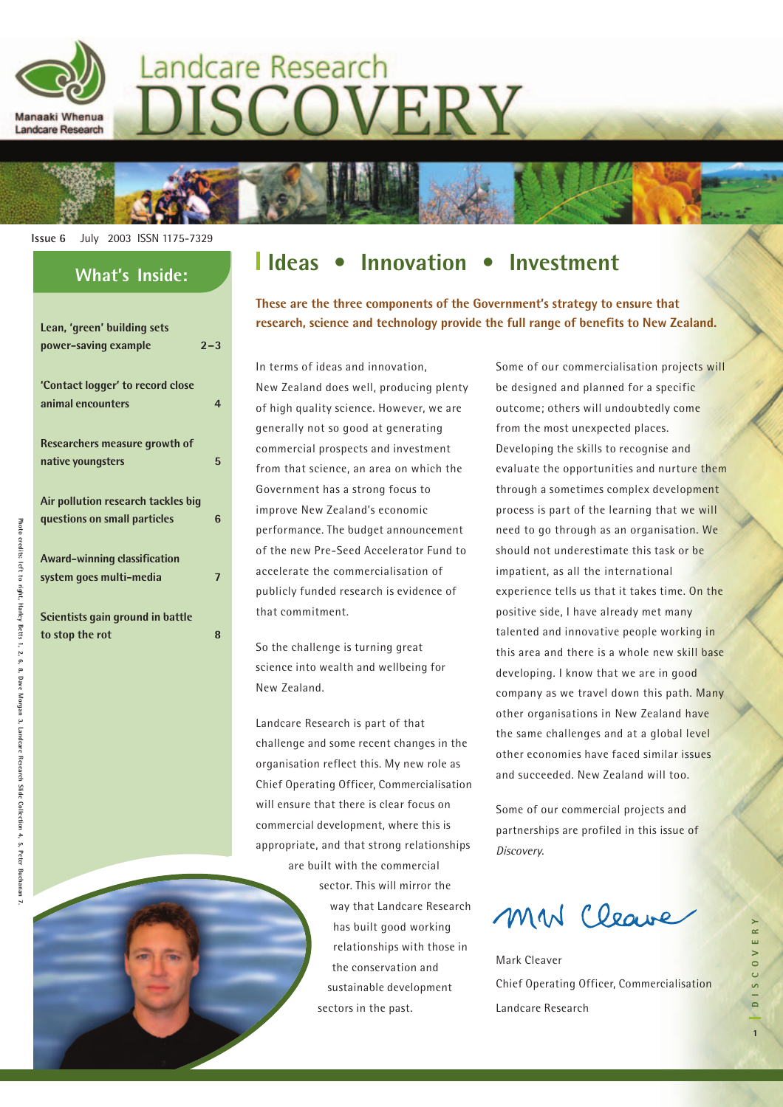

# Landcare Research **JISCOVERY**

**Issue 6** July 2003 ISSN 1175-7329

#### **What's Inside:**

| Lean, 'green' building sets        |         |
|------------------------------------|---------|
| power-saving example               | $2 - 3$ |
|                                    |         |
| 'Contact logger' to record close   |         |
|                                    |         |
| animal encounters                  | 4       |
|                                    |         |
| Researchers measure growth of      |         |
| native youngsters                  | 5       |
|                                    |         |
|                                    |         |
| Air pollution research tackles big |         |
| questions on small particles       | 6       |
|                                    |         |
| Award-winning classification       |         |
|                                    |         |
| system goes multi-media            | 7       |
|                                    |         |
| Scientists gain ground in battle   |         |
| to stop the rot                    | ឧ       |
|                                    |         |

### **Ideas • Innovation • Investment**

**These are the three components of the Government's strategy to ensure that research, science and technology provide the full range of benefits to New Zealand.**

In terms of ideas and innovation, New Zealand does well, producing plenty of high quality science. However, we are generally not so good at generating commercial prospects and investment from that science, an area on which the Government has a strong focus to improve New Zealand's economic performance. The budget announcement of the new Pre-Seed Accelerator Fund to accelerate the commercialisation of publicly funded research is evidence of that commitment.

So the challenge is turning great science into wealth and wellbeing for New Zealand.

Landcare Research is part of that challenge and some recent changes in the organisation reflect this. My new role as Chief Operating Officer, Commercialisation will ensure that there is clear focus on commercial development, where this is appropriate, and that strong relationships are built with the commercial

> sector. This will mirror the way that Landcare Research has built good working relationships with those in the conservation and sustainable development sectors in the past.

Some of our commercialisation projects will be designed and planned for a specific outcome; others will undoubtedly come from the most unexpected places. Developing the skills to recognise and evaluate the opportunities and nurture them through a sometimes complex development process is part of the learning that we will need to go through as an organisation. We should not underestimate this task or be impatient, as all the international experience tells us that it takes time. On the positive side, I have already met many talented and innovative people working in this area and there is a whole new skill base developing. I know that we are in good company as we travel down this path. Many other organisations in New Zealand have the same challenges and at a global level other economies have faced similar issues and succeeded. New Zealand will too.

Some of our commercial projects and partnerships are profiled in this issue of Discovery.

MM Cleave

Mark Cleaver Chief Operating Officer, Commercialisation Landcare Research

**1DISCOVERY**

E R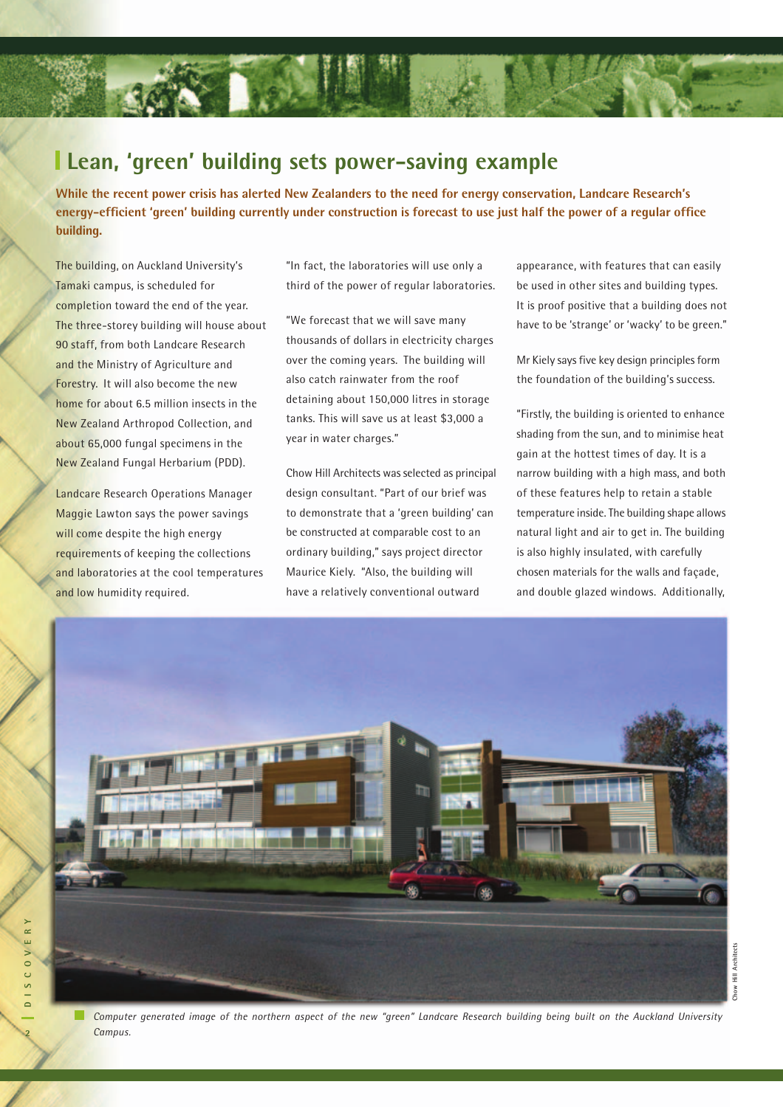### **Lean, 'green' building sets power-saving example**

**While the recent power crisis has alerted New Zealanders to the need for energy conservation, Landcare Research's energy-efficient 'green' building currently under construction is forecast to use just half the power of a regular office building.**

The building, on Auckland University's Tamaki campus, is scheduled for completion toward the end of the year. The three-storey building will house about 90 staff, from both Landcare Research and the Ministry of Agriculture and Forestry. It will also become the new home for about 6.5 million insects in the New Zealand Arthropod Collection, and about 65,000 fungal specimens in the New Zealand Fungal Herbarium (PDD).

Landcare Research Operations Manager Maggie Lawton says the power savings will come despite the high energy requirements of keeping the collections and laboratories at the cool temperatures and low humidity required.

"In fact, the laboratories will use only a third of the power of regular laboratories.

"We forecast that we will save many thousands of dollars in electricity charges over the coming years. The building will also catch rainwater from the roof detaining about 150,000 litres in storage tanks. This will save us at least \$3,000 a year in water charges."

Chow Hill Architects was selected as principal design consultant. "Part of our brief was to demonstrate that a 'green building' can be constructed at comparable cost to an ordinary building," says project director Maurice Kiely. "Also, the building will have a relatively conventional outward

appearance, with features that can easily be used in other sites and building types. It is proof positive that a building does not have to be 'strange' or 'wacky' to be green."

Mr Kiely says five key design principles form the foundation of the building's success.

"Firstly, the building is oriented to enhance shading from the sun, and to minimise heat gain at the hottest times of day. It is a narrow building with a high mass, and both of these features help to retain a stable temperature inside. The building shape allows natural light and air to get in. The building is also highly insulated, with carefully chosen materials for the walls and façade, and double glazed windows. Additionally,

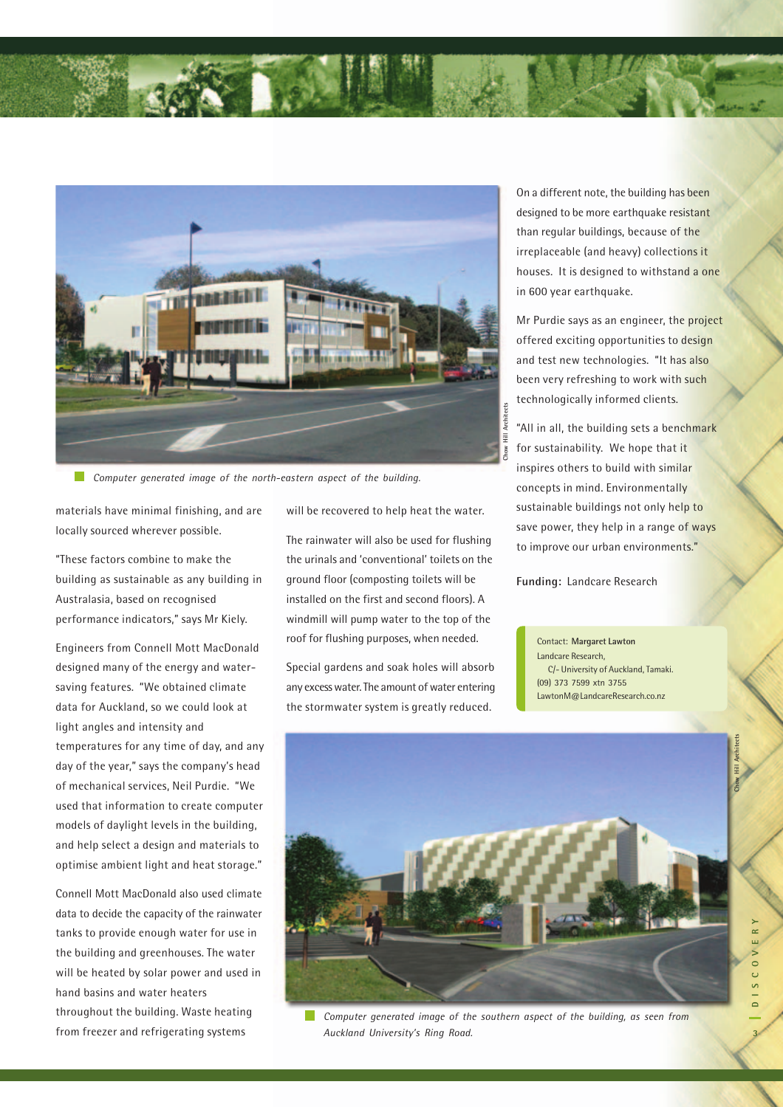

*Computer generated image of the north-eastern aspect of the building.*

materials have minimal finishing, and are locally sourced wherever possible.

"These factors combine to make the building as sustainable as any building in Australasia, based on recognised performance indicators," says Mr Kiely.

Engineers from Connell Mott MacDonald designed many of the energy and watersaving features. "We obtained climate data for Auckland, so we could look at light angles and intensity and temperatures for any time of day, and any day of the year," says the company's head of mechanical services, Neil Purdie. "We used that information to create computer models of daylight levels in the building, and help select a design and materials to optimise ambient light and heat storage."

Connell Mott MacDonald also used climate data to decide the capacity of the rainwater tanks to provide enough water for use in the building and greenhouses. The water will be heated by solar power and used in hand basins and water heaters throughout the building. Waste heating from freezer and refrigerating systems

will be recovered to help heat the water.

The rainwater will also be used for flushing the urinals and 'conventional' toilets on the ground floor (composting toilets will be installed on the first and second floors). A windmill will pump water to the top of the roof for flushing purposes, when needed.

Special gardens and soak holes will absorb any excess water. The amount of water entering the stormwater system is greatly reduced.

On a different note, the building has been designed to be more earthquake resistant than regular buildings, because of the irreplaceable (and heavy) collections it houses. It is designed to withstand a one in 600 year earthquake.

Mr Purdie says as an engineer, the project offered exciting opportunities to design and test new technologies. "It has also been very refreshing to work with such technologically informed clients.

"All in all, the building sets a benchmark for sustainability. We hope that it inspires others to build with similar concepts in mind. Environmentally sustainable buildings not only help to save power, they help in a range of ways to improve our urban environments."

**Funding:** Landcare Research

Contact: **Margaret Lawton** Landcare Research, C/- University of Auckland, Tamaki. (09) 373 7599 xtn 3755 LawtonM@LandcareResearch.co.nz



*Computer generated image of the southern aspect of the building, as seen from*  $\sim$ *Auckland University's Ring Road.*

**Chow Hill Architects**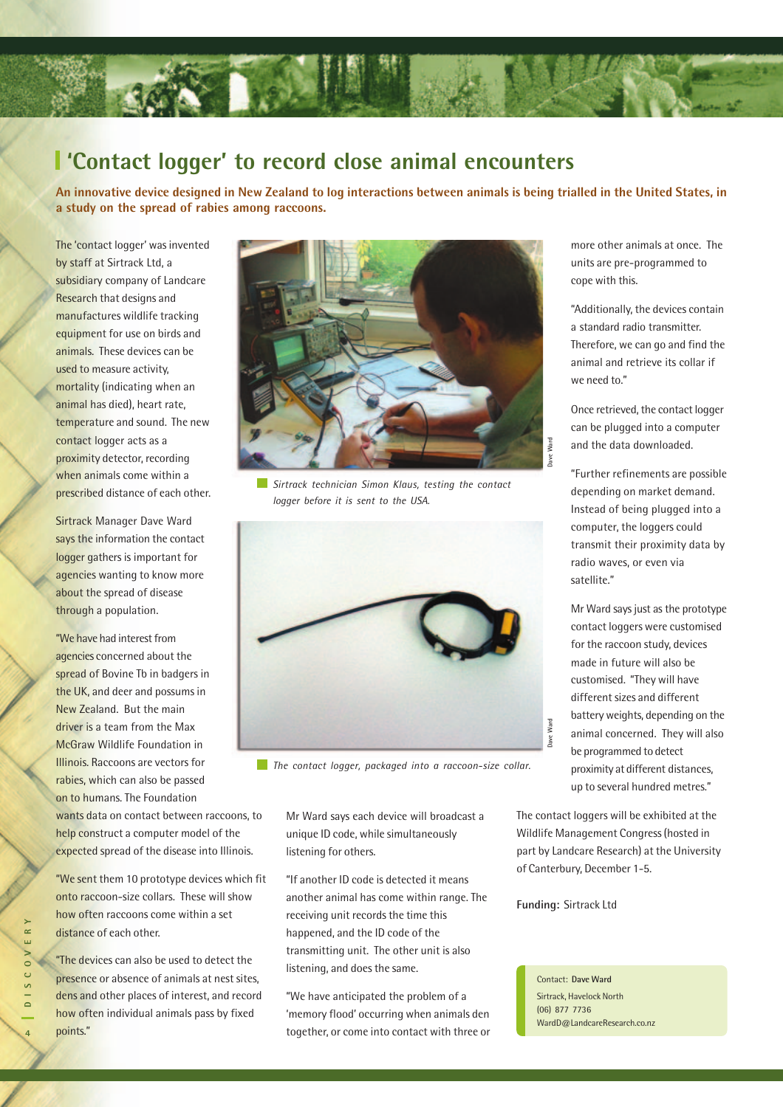

### **'Contact logger' to record close animal encounters**

**An innovative device designed in New Zealand to log interactions between animals is being trialled in the United States, in a study on the spread of rabies among raccoons.**

The 'contact logger' was invented by staff at Sirtrack Ltd, a subsidiary company of Landcare Research that designs and manufactures wildlife tracking equipment for use on birds and animals. These devices can be used to measure activity, mortality (indicating when an animal has died), heart rate, temperature and sound. The new contact logger acts as a proximity detector, recording when animals come within a prescribed distance of each other.

Sirtrack Manager Dave Ward says the information the contact logger gathers is important for agencies wanting to know more about the spread of disease through a population.

"We have had interest from agencies concerned about the spread of Bovine Tb in badgers in the UK, and deer and possums in New Zealand. But the main driver is a team from the Max McGraw Wildlife Foundation in Illinois. Raccoons are vectors for rabies, which can also be passed on to humans. The Foundation wants data on contact between raccoons, to help construct a computer model of the

"We sent them 10 prototype devices which fit onto raccoon-size collars. These will show how often raccoons come within a set distance of each other.

expected spread of the disease into Illinois.

"The devices can also be used to detect the presence or absence of animals at nest sites, dens and other places of interest, and record how often individual animals pass by fixed points."



*Sirtrack technician Simon Klaus, testing the contact logger before it is sent to the USA.*



*The contact logger, packaged into a raccoon-size collar.*

Mr Ward says each device will broadcast a unique ID code, while simultaneously listening for others.

"If another ID code is detected it means another animal has come within range. The receiving unit records the time this happened, and the ID code of the transmitting unit. The other unit is also listening, and does the same.

"We have anticipated the problem of a 'memory flood' occurring when animals den together, or come into contact with three or

more other animals at once. The units are pre-programmed to cope with this.

"Additionally, the devices contain a standard radio transmitter. Therefore, we can go and find the animal and retrieve its collar if we need to."

Once retrieved, the contact logger can be plugged into a computer and the data downloaded.

"Further refinements are possible depending on market demand. Instead of being plugged into a computer, the loggers could transmit their proximity data by radio waves, or even via satellite."

From the data down<br>
"Further refinemed<br>
depending on man<br>
Instead of being p<br>
computer, the log<br>
transmit their pro<br>
radio waves, or ev<br>
satellite."<br>
Mr Ward says just a<br>
contact loggers we<br>
for the raccoon stude in future Mr Ward says just as the prototype contact loggers were customised for the raccoon study, devices made in future will also be customised. "They will have different sizes and different battery weights, depending on the animal concerned. They will also be programmed to detect proximity at different distances, up to several hundred metres."

The contact loggers will be exhibited at the Wildlife Management Congress (hosted in part by Landcare Research) at the University of Canterbury, December 1-5.

**Funding:** Sirtrack Ltd

Contact: **Dave Ward** Sirtrack, Havelock North (06) 877 7736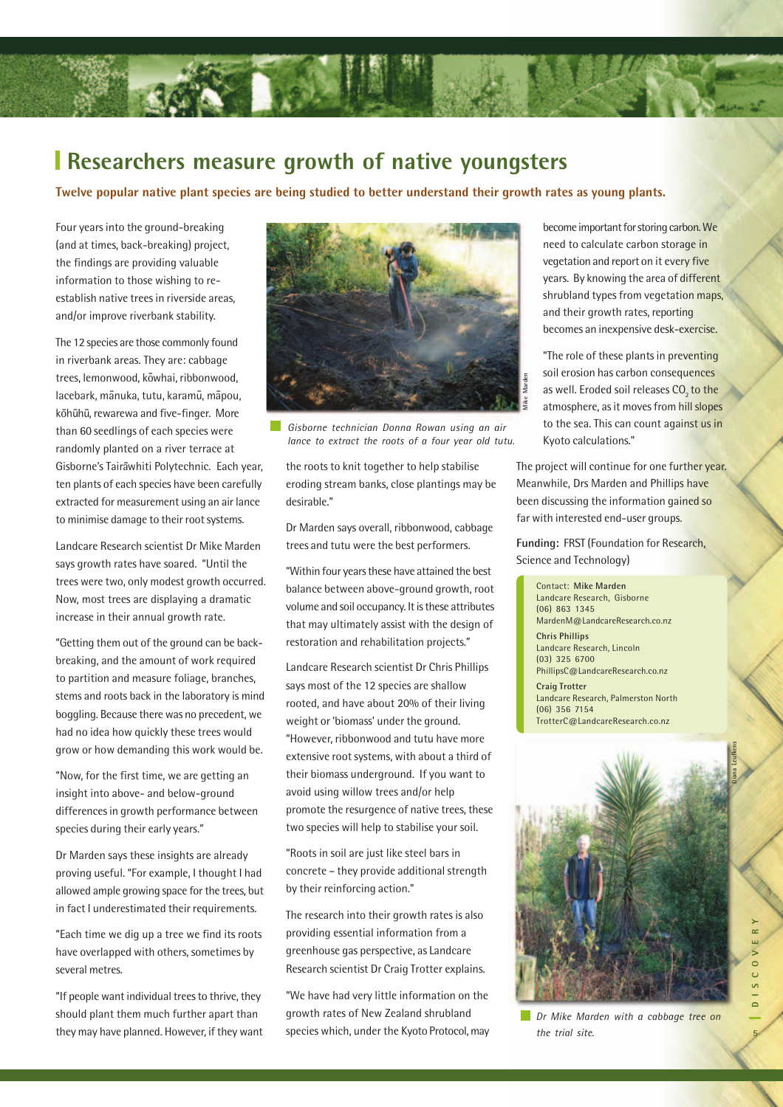#### **Researchers measure growth of native youngsters**

**Twelve popular native plant species are being studied to better understand their growth rates as young plants.**

Four years into the ground-breaking (and at times, back-breaking) project, the findings are providing valuable information to those wishing to reestablish native trees in riverside areas, and/or improve riverbank stability.

The 12 species are those commonly found in riverbank areas. They are: cabbage trees, lemonwood, kowhai, ribbonwood, lacebark, mānuka, tutu, karamū, māpou, kōhūhū, rewarewa and five-finger. More than 60 seedlings of each species were randomly planted on a river terrace at Gisborne's Tairawhiti Polytechnic. Each year, ten plants of each species have been carefully extracted for measurement using an air lance to minimise damage to their root systems.

Landcare Research scientist Dr Mike Marden says growth rates have soared. "Until the trees were two, only modest growth occurred. Now, most trees are displaying a dramatic increase in their annual growth rate.

"Getting them out of the ground can be backbreaking, and the amount of work required to partition and measure foliage, branches, stems and roots back in the laboratory is mind boggling. Because there was no precedent, we had no idea how quickly these trees would grow or how demanding this work would be.

"Now, for the first time, we are getting an insight into above- and below-ground differences in growth performance between species during their early years."

Dr Marden says these insights are already proving useful. "For example, I thought I had allowed ample growing space for the trees, but in fact I underestimated their requirements.

"Each time we dig up a tree we find its roots have overlapped with others, sometimes by several metres.

"If people want individual trees to thrive, they should plant them much further apart than they may have planned. However, if they want



*Gisborne technician Donna Rowan using an air lance to extract the roots of a four year old tutu.*

the roots to knit together to help stabilise eroding stream banks, close plantings may be desirable."

Dr Marden says overall, ribbonwood, cabbage trees and tutu were the best performers.

"Within four years these have attained the best balance between above-ground growth, root volume and soil occupancy. It is these attributes that may ultimately assist with the design of restoration and rehabilitation projects."

Landcare Research scientist Dr Chris Phillips says most of the 12 species are shallow rooted, and have about 20% of their living weight or 'biomass' under the ground. "However, ribbonwood and tutu have more extensive root systems, with about a third of their biomass underground. If you want to avoid using willow trees and/or help promote the resurgence of native trees, these two species will help to stabilise your soil.

"Roots in soil are just like steel bars in concrete – they provide additional strength by their reinforcing action."

The research into their growth rates is also providing essential information from a greenhouse gas perspective, as Landcare Research scientist Dr Craig Trotter explains.

"We have had very little information on the growth rates of New Zealand shrubland species which, under the Kyoto Protocol, may become important for storing carbon. We need to calculate carbon storage in vegetation and report on it every five years. By knowing the area of different shrubland types from vegetation maps, and their growth rates, reporting becomes an inexpensive desk-exercise.

"The role of these plants in preventing soil erosion has carbon consequences as well. Eroded soil releases CO<sub>2</sub> to the atmosphere, as it moves from hill slopes to the sea. This can count against us in Kyoto calculations."

The project will continue for one further year. Meanwhile, Drs Marden and Phillips have been discussing the information gained so far with interested end-user groups.

**Funding:** FRST (Foundation for Research, Science and Technology)

Contact: **Mike Marden** Landcare Research, Gisborne (06) 863 1345 MardenM@LandcareResearch.co.nz **Chris Phillips** Landcare Research, Lincoln (03) 325 6700 PhillipsC@LandcareResearch.co.nz **Craig Trotter** Landcare Research, Palmerston North (06) 356 7154 TrotterC@LandcareResearch.co.nz



 $\sim$ 

*Dr Mike Marden with a cabbage tree on the trial site.*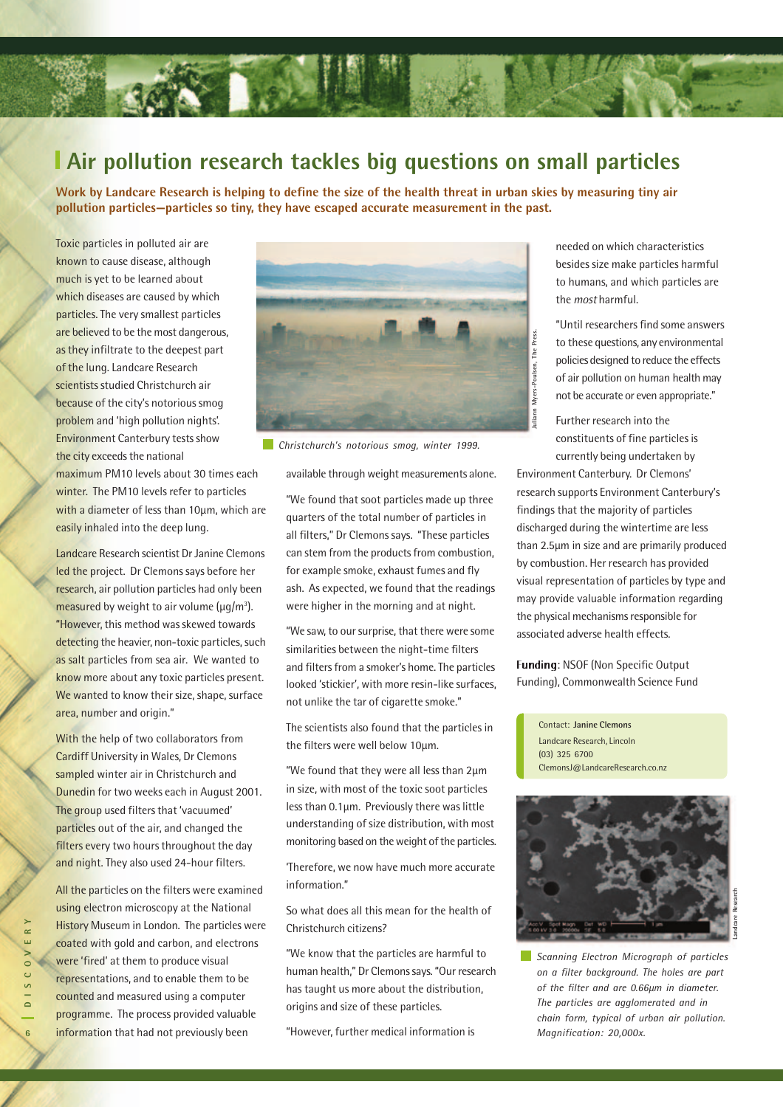# **Air pollution research tackles big questions on small particles**

**Work by Landcare Research is helping to define the size of the health threat in urban skies by measuring tiny air pollution particles—particles so tiny, they have escaped accurate measurement in the past.**

Toxic particles in polluted air are known to cause disease, although much is yet to be learned about which diseases are caused by which particles. The very smallest particles are believed to be the most dangerous, as they infiltrate to the deepest part of the lung. Landcare Research scientists studied Christchurch air because of the city's notorious smog problem and 'high pollution nights'. Environment Canterbury tests show the city exceeds the national

maximum PM10 levels about 30 times each winter. The PM10 levels refer to particles with a diameter of less than 10µm, which are easily inhaled into the deep lung.

Landcare Research scientist Dr Janine Clemons led the project. Dr Clemons says before her research, air pollution particles had only been measured by weight to air volume (µg/m<sup>3</sup>). "However, this method was skewed towards detecting the heavier, non-toxic particles, such as salt particles from sea air. We wanted to know more about any toxic particles present. We wanted to know their size, shape, surface area, number and origin."

With the help of two collaborators from Cardiff University in Wales, Dr Clemons sampled winter air in Christchurch and Dunedin for two weeks each in August 2001. The group used filters that 'vacuumed' particles out of the air, and changed the filters every two hours throughout the day and night. They also used 24-hour filters.

All the particles on the filters were examined using electron microscopy at the National History Museum in London. The particles were coated with gold and carbon, and electrons were 'fired' at them to produce visual representations, and to enable them to be counted and measured using a computer programme. The process provided valuable information that had not previously been



*Christchurch's notorious smog, winter 1999.*

available through weight measurements alone.

"We found that soot particles made up three quarters of the total number of particles in all filters," Dr Clemons says. "These particles can stem from the products from combustion, for example smoke, exhaust fumes and fly ash. As expected, we found that the readings were higher in the morning and at night.

"We saw, to our surprise, that there were some similarities between the night-time filters and filters from a smoker's home. The particles looked 'stickier', with more resin-like surfaces, not unlike the tar of cigarette smoke."

The scientists also found that the particles in the filters were well below 10µm.

"We found that they were all less than 2µm in size, with most of the toxic soot particles less than 0.1µm. Previously there was little understanding of size distribution, with most monitoring based on the weight of the particles.

'Therefore, we now have much more accurate information."

So what does all this mean for the health of Christchurch citizens?

"We know that the particles are harmful to human health," Dr Clemons says. "Our research has taught us more about the distribution, origins and size of these particles.

"However, further medical information is

needed on which characteristics besides size make particles harmful to humans, and which particles are the most harmful.

"Until researchers find some answers to these questions, any environmental policies designed to reduce the effects of air pollution on human health may not be accurate or even appropriate."

Further research into the constituents of fine particles is currently being undertaken by

*Magnification:* 20,000x.<br> *Magnification:* 20,000x.<br> *Magnification:* 20,000x.<br> *Magnification:* 20,000x.<br> *Magnification:* 20,000x.<br> *Magnification:* 20,000x.<br> *Magnification:* 20,000x.<br> *Magnification:* 20,000x.<br> *Magni* Environment Canterbury. Dr Clemons' research supports Environment Canterbury's findings that the majority of particles discharged during the wintertime are less than 2.5µm in size and are primarily produced by combustion. Her research has provided visual representation of particles by type and may provide valuable information regarding the physical mechanisms responsible for associated adverse health effects.

Funding: NSOF (Non Specific Output Funding), Commonwealth Science Fund

Contact: **Janine Clemons** Landcare Research, Lincoln (03) 325 6700 ClemonsJ@LandcareResearch.co.nz



*Scanning Electron Micrograph of particles on a filter background. The holes are part of the filter and are 0.66µm in diameter. The particles are agglomerated and in chain form, typical of urban air pollution.* Magnification: 20,000x.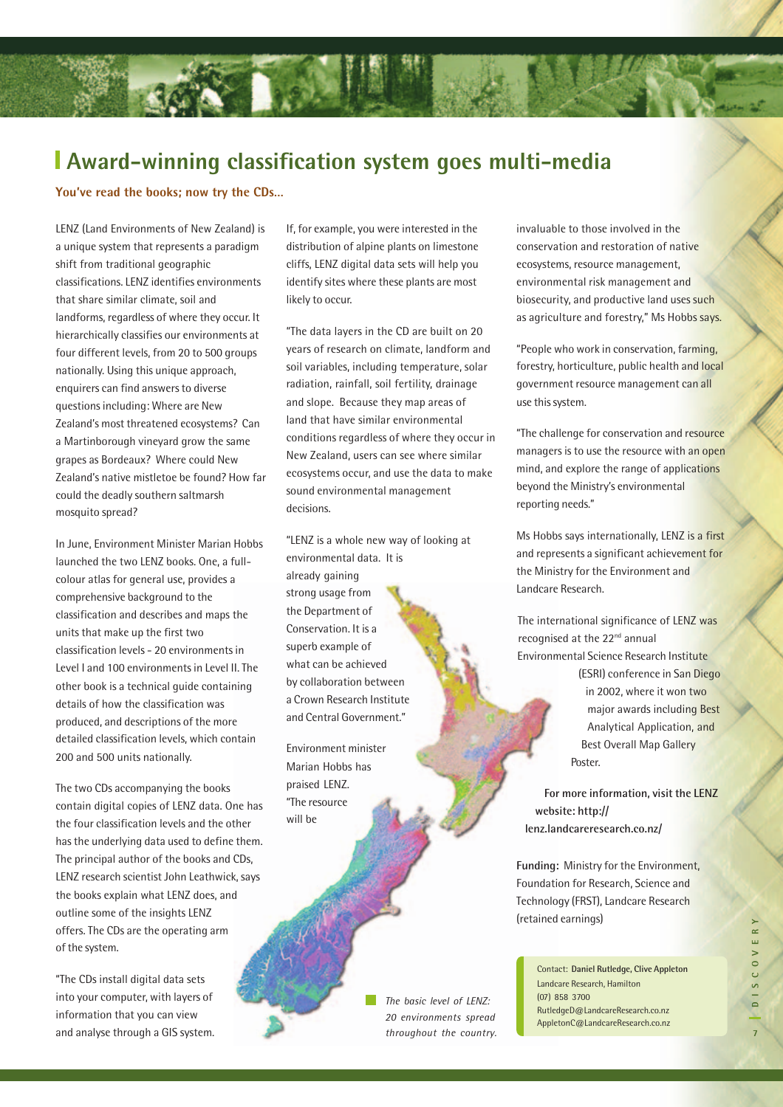### **Award-winning classification system goes multi-media**

**You've read the books; now try the CDs…**

LENZ (Land Environments of New Zealand) is a unique system that represents a paradigm shift from traditional geographic classifications. LENZ identifies environments that share similar climate, soil and landforms, regardless of where they occur. It hierarchically classifies our environments at four different levels, from 20 to 500 groups nationally. Using this unique approach, enquirers can find answers to diverse questions including: Where are New Zealand's most threatened ecosystems? Can a Martinborough vineyard grow the same grapes as Bordeaux? Where could New Zealand's native mistletoe be found? How far could the deadly southern saltmarsh mosquito spread?

In June, Environment Minister Marian Hobbs launched the two LENZ books. One, a fullcolour atlas for general use, provides a comprehensive background to the classification and describes and maps the units that make up the first two classification levels - 20 environments in Level I and 100 environments in Level II. The other book is a technical guide containing details of how the classification was produced, and descriptions of the more detailed classification levels, which contain 200 and 500 units nationally.

The two CDs accompanying the books contain digital copies of LENZ data. One has the four classification levels and the other has the underlying data used to define them. The principal author of the books and CDs, LENZ research scientist John Leathwick, says the books explain what LENZ does, and outline some of the insights LENZ offers. The CDs are the operating arm of the system.

"The CDs install digital data sets into your computer, with layers of information that you can view and analyse through a GIS system.

If, for example, you were interested in the distribution of alpine plants on limestone cliffs, LENZ digital data sets will help you identify sites where these plants are most likely to occur.

"The data layers in the CD are built on 20 years of research on climate, landform and soil variables, including temperature, solar radiation, rainfall, soil fertility, drainage and slope. Because they map areas of land that have similar environmental conditions regardless of where they occur in New Zealand, users can see where similar ecosystems occur, and use the data to make sound environmental management decisions.

"LENZ is a whole new way of looking at environmental data. It is already gaining strong usage from the Department of Conservation. It is a superb example of what can be achieved by collaboration between a Crown Research Institute and Central Government."

Environment minister Marian Hobbs has praised LENZ. "The resource will be

> *The basic level of LENZ: 20 environments spread throughout the country.*

invaluable to those involved in the conservation and restoration of native ecosystems, resource management, environmental risk management and biosecurity, and productive land uses such as agriculture and forestry," Ms Hobbs says.

"People who work in conservation, farming, forestry, horticulture, public health and local government resource management can all use this system.

"The challenge for conservation and resource managers is to use the resource with an open mind, and explore the range of applications beyond the Ministry's environmental reporting needs."

Ms Hobbs says internationally, LENZ is a first and represents a significant achievement for the Ministry for the Environment and Landcare Research.

The international significance of LENZ was recognised at the 22<sup>nd</sup> annual Environmental Science Research Institute (ESRI) conference in San Diego in 2002, where it won two major awards including Best Analytical Application, and Best Overall Map Gallery Poster.

**For more information, visit the LENZ website: http:// lenz.landcareresearch.co.nz/**

**Funding:** Ministry for the Environment, Foundation for Research, Science and Technology (FRST), Landcare Research (retained earnings)

> Contact: **Daniel Rutledge, Clive Appleton** Landcare Research, Hamilton (07) 858 3700 RutledgeD@LandcareResearch.co.nz AppletonC@LandcareResearch.co.nz